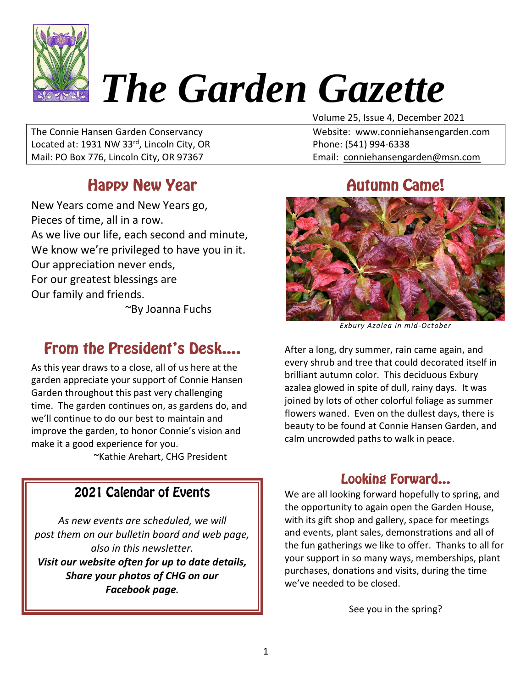

# *The Garden Gazette*

The Connie Hansen Garden Conservancy Website: www.conniehansengarden.com Located at: 1931 NW 33<sup>rd</sup>, Lincoln City, OR Phone: (541) 994-6338 Mail: PO Box 776, Lincoln City, OR 97367 Email: [conniehansengarden@msn.com](mailto:conniehansengarden@msn.com)

#### **Happy New Year**

New Years come and New Years go, Pieces of time, all in a row. As we live our life, each second and minute, We know we're privileged to have you in it. Our appreciation never ends, For our greatest blessings are Our family and friends.

~By Joanna Fuchs

### **From the President's Desk....**

As this year draws to a close, all of us here at the garden appreciate your support of Connie Hansen Garden throughout this past very challenging time. The garden continues on, as gardens do, and we'll continue to do our best to maintain and improve the garden, to honor Connie's vision and make it a good experience for you. ~Kathie Arehart, CHG President

#### 2021 Calendar of Events

*As new events are scheduled, we will post them on our bulletin board and web page, also in this newsletter. Visit our website often for up to date details, Share your photos of CHG on our Facebook page.*

Volume 25, Issue 4, December 2021

#### **Autumn Came!**



*Exbury Azalea in mid-October*

After a long, dry summer, rain came again, and every shrub and tree that could decorated itself in brilliant autumn color. This deciduous Exbury azalea glowed in spite of dull, rainy days. It was joined by lots of other colorful foliage as summer flowers waned. Even on the dullest days, there is beauty to be found at Connie Hansen Garden, and calm uncrowded paths to walk in peace.

#### **Looking Forward...**

We are all looking forward hopefully to spring, and the opportunity to again open the Garden House, with its gift shop and gallery, space for meetings and events, plant sales, demonstrations and all of the fun gatherings we like to offer. Thanks to all for your support in so many ways, memberships, plant purchases, donations and visits, during the time we've needed to be closed.

See you in the spring?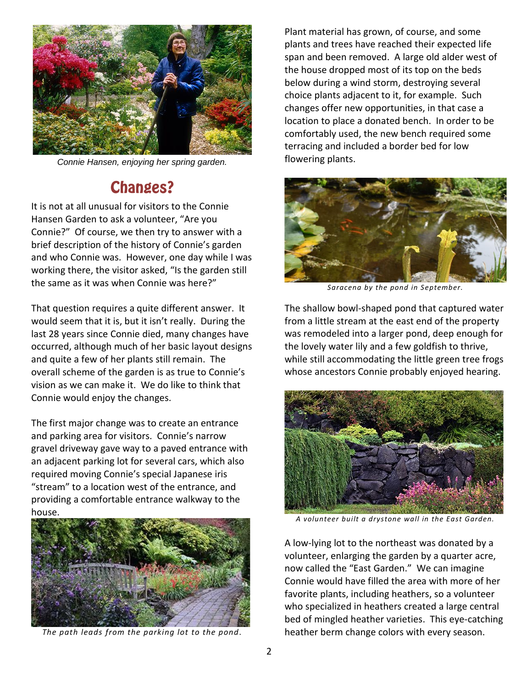

*Connie Hansen, enjoying her spring garden.*

#### **Changes?**

It is not at all unusual for visitors to the Connie Hansen Garden to ask a volunteer, "Are you Connie?" Of course, we then try to answer with a brief description of the history of Connie's garden and who Connie was. However, one day while I was working there, the visitor asked, "Is the garden still the same as it was when Connie was here?"

That question requires a quite different answer. It would seem that it is, but it isn't really. During the last 28 years since Connie died, many changes have occurred, although much of her basic layout designs and quite a few of her plants still remain. The overall scheme of the garden is as true to Connie's vision as we can make it. We do like to think that Connie would enjoy the changes.

The first major change was to create an entrance and parking area for visitors. Connie's narrow gravel driveway gave way to a paved entrance with an adjacent parking lot for several cars, which also required moving Connie's special Japanese iris "stream" to a location west of the entrance, and providing a comfortable entrance walkway to the house.



*The path leads from the parking lot to the pond.*

Plant material has grown, of course, and some plants and trees have reached their expected life span and been removed. A large old alder west of the house dropped most of its top on the beds below during a wind storm, destroying several choice plants adjacent to it, for example. Such changes offer new opportunities, in that case a location to place a donated bench. In order to be comfortably used, the new bench required some terracing and included a border bed for low flowering plants.



*Saracena by the pond in September.*

The shallow bowl-shaped pond that captured water from a little stream at the east end of the property was remodeled into a larger pond, deep enough for the lovely water lily and a few goldfish to thrive, while still accommodating the little green tree frogs whose ancestors Connie probably enjoyed hearing.



*A volunteer built a drystone wall in the East Garden.*

A low-lying lot to the northeast was donated by a volunteer, enlarging the garden by a quarter acre, now called the "East Garden." We can imagine Connie would have filled the area with more of her favorite plants, including heathers, so a volunteer who specialized in heathers created a large central bed of mingled heather varieties. This eye-catching heather berm change colors with every season.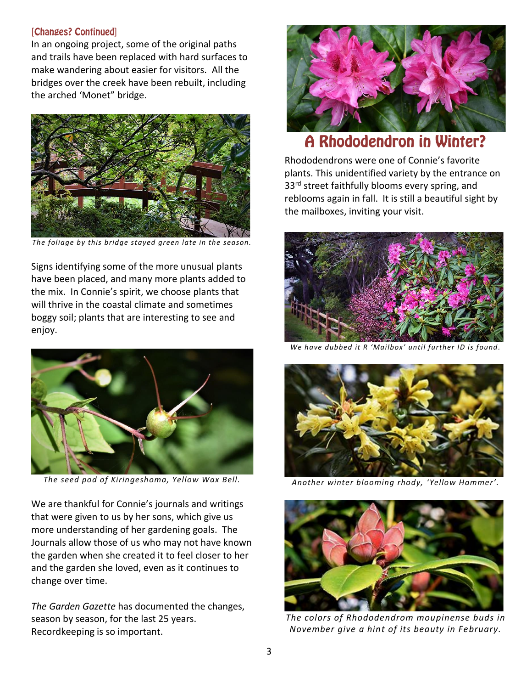#### [Changes? Continued]

In an ongoing project, some of the original paths and trails have been replaced with hard surfaces to make wandering about easier for visitors. All the bridges over the creek have been rebuilt, including the arched 'Monet" bridge.



*The foliage by this bridge stayed green late in the season.*

Signs identifying some of the more unusual plants have been placed, and many more plants added to the mix. In Connie's spirit, we choose plants that will thrive in the coastal climate and sometimes boggy soil; plants that are interesting to see and enjoy.



*The seed pod of Kiringeshoma, Yellow Wax Bell.*

We are thankful for Connie's journals and writings that were given to us by her sons, which give us more understanding of her gardening goals. The Journals allow those of us who may not have known the garden when she created it to feel closer to her and the garden she loved, even as it continues to change over time.

*The Garden Gazette* has documented the changes, season by season, for the last 25 years. Recordkeeping is so important.



#### **A Rhododendron in Winter?**

Rhododendrons were one of Connie's favorite plants. This unidentified variety by the entrance on 33<sup>rd</sup> street faithfully blooms every spring, and reblooms again in fall. It is still a beautiful sight by the mailboxes, inviting your visit.



*We have dubbed it R 'Mailbox' until further ID is found.*



*Another winter blooming rhody, 'Yellow Hammer'.*



*The colors of Rhododendrom moupinense buds in November give a hint of its beauty in February.*